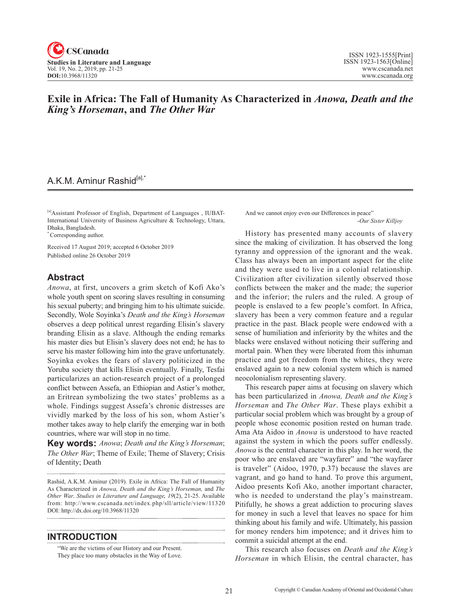

### **Exile in Africa: The Fall of Humanity As Characterized in** *Anowa, Death and the King's Horseman***, and** *The Other War*

## A.K.M. Aminur Rashid<sup>[a],\*</sup>

[a]Assistant Professor of English, Department of Languages , IUBAT-International University of Business Agriculture & Technology, Uttara, Dhaka, Bangladesh.

\* Corresponding author.

Received 17 August 2019; accepted 6 October 2019 Published online 26 October 2019

#### **Abstract**

*Anowa*, at first, uncovers a grim sketch of Kofi Ako's whole youth spent on scoring slaves resulting in consuming his sexual puberty; and bringing him to his ultimate suicide. Secondly, Wole Soyinka's *Death and the King's Horseman* observes a deep political unrest regarding Elisin's slavery branding Elisin as a slave. Although the ending remarks his master dies but Elisin's slavery does not end; he has to serve his master following him into the grave unfortunately. Soyinka evokes the fears of slavery politicized in the Yoruba society that kills Elisin eventually. Finally, Tesfai particularizes an action-research project of a prolonged conflict between Assefa, an Ethiopian and Astier's mother, an Eritrean symbolizing the two states' problems as a whole. Findings suggest Assefa's chronic distresses are vividly marked by the loss of his son, whom Astier's mother takes away to help clarify the emerging war in both countries, where war will stop in no time.

**Key words:** *Anowa*; *Death and the King's Horseman*; *The Other War*; Theme of Exile; Theme of Slavery; Crisis of Identity; Death

Rashid, A.K.M. Aminur (2019). Exile in Africa: The Fall of Humanity As Characterized in *Anowa, Death and the King's Horseman,* and *The Other War*. *Studies in Literature and Language*, <sup>19</sup>(2), 21-25. Available from: http://www.cscanada.net/index.php/sll/article/view/11320 DOI: http://dx.doi.org/10.3968/11320

#### **INTRODUCTION**

"We are the victims of our History and our Present. They place too many obstacles in the Way of Love. And we cannot enjoy even our Differences in peace" -*Our Sister Killjoy*

History has presented many accounts of slavery since the making of civilization. It has observed the long tyranny and oppression of the ignorant and the weak. Class has always been an important aspect for the elite and they were used to live in a colonial relationship. Civilization after civilization silently observed those conflicts between the maker and the made; the superior and the inferior; the rulers and the ruled. A group of people is enslaved to a few people's comfort. In Africa, slavery has been a very common feature and a regular practice in the past. Black people were endowed with a sense of humiliation and inferiority by the whites and the blacks were enslaved without noticing their suffering and mortal pain. When they were liberated from this inhuman practice and got freedom from the whites, they were enslaved again to a new colonial system which is named neocolonialism representing slavery.

This research paper aims at focusing on slavery which has been particularized in *Anowa, Death and the King's Horseman* and *The Other War*. These plays exhibit a particular social problem which was brought by a group of people whose economic position rested on human trade. Ama Ata Aidoo in *Anowa* is understood to have reacted against the system in which the poors suffer endlessly. *Anowa* is the central character in this play. In her word, the poor who are enslaved are "wayfarer" and "the wayfarer is traveler" (Aidoo, 1970, p.37) because the slaves are vagrant, and go hand to hand. To prove this argument, Aidoo presents Kofi Ako, another important character, who is needed to understand the play's mainstream. Pitifully, he shows a great addiction to procuring slaves for money in such a level that leaves no space for him thinking about his family and wife. Ultimately, his passion for money renders him impotence; and it drives him to commit a suicidal attempt at the end.

This research also focuses on *Death and the King's Horseman* in which Elisin, the central character, has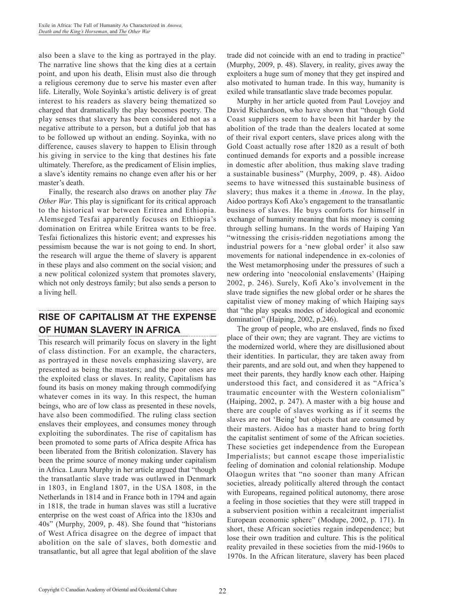also been a slave to the king as portrayed in the play. The narrative line shows that the king dies at a certain point, and upon his death, Elisin must also die through a religious ceremony due to serve his master even after life. Literally, Wole Soyinka's artistic delivery is of great interest to his readers as slavery being thematized so charged that dramatically the play becomes poetry. The play senses that slavery has been considered not as a negative attribute to a person, but a dutiful job that has to be followed up without an ending. Soyinka, with no difference, causes slavery to happen to Elisin through his giving in service to the king that destines his fate ultimately. Therefore, as the predicament of Elisin implies, a slave's identity remains no change even after his or her master's death.

Finally, the research also draws on another play *The Other War*. This play is significant for its critical approach to the historical war between Eritrea and Ethiopia. Alemseged Tesfai apparently focuses on Ethiopia's domination on Eritrea while Eritrea wants to be free. Tesfai fictionalizes this historic event; and expresses his pessimism because the war is not going to end. In short, the research will argue the theme of slavery is apparent in these plays and also comment on the social vision; and a new political colonized system that promotes slavery, which not only destroys family; but also sends a person to a living hell.

# **RISE OF CAPITALISM AT THE EXPENSE OF HUMAN SLAVERY IN AFRICA**

This research will primarily focus on slavery in the light of class distinction. For an example, the characters, as portrayed in these novels emphasizing slavery, are presented as being the masters; and the poor ones are the exploited class or slaves. In reality, Capitalism has found its basis on money making through commodifying whatever comes in its way. In this respect, the human beings, who are of low class as presented in these novels, have also been commodified. The ruling class section enslaves their employees, and consumes money through exploiting the subordinates. The rise of capitalism has been promoted to some parts of Africa despite Africa has been liberated from the British colonization. Slavery has been the prime source of money making under capitalism in Africa. Laura Murphy in her article argued that "though the transatlantic slave trade was outlawed in Denmark in 1803, in England 1807, in the USA 1808, in the Netherlands in 1814 and in France both in 1794 and again in 1818, the trade in human slaves was still a lucrative enterprise on the west coast of Africa into the 1830s and 40s" (Murphy, 2009, p. 48). She found that "historians of West Africa disagree on the degree of impact that abolition on the sale of slaves, both domestic and transatlantic, but all agree that legal abolition of the slave trade did not coincide with an end to trading in practice" (Murphy, 2009, p. 48). Slavery, in reality, gives away the exploiters a huge sum of money that they get inspired and also motivated to human trade. In this way, humanity is exiled while transatlantic slave trade becomes popular.

Murphy in her article quoted from Paul Lovejoy and David Richardson, who have shown that "though Gold Coast suppliers seem to have been hit harder by the abolition of the trade than the dealers located at some of their rival export centers, slave prices along with the Gold Coast actually rose after 1820 as a result of both continued demands for exports and a possible increase in domestic after abolition, thus making slave trading a sustainable business" (Murphy, 2009, p. 48). Aidoo seems to have witnessed this sustainable business of slavery; thus makes it a theme in *Anowa*. In the play, Aidoo portrays Kofi Ako's engagement to the transatlantic business of slaves. He buys comforts for himself in exchange of humanity meaning that his money is coming through selling humans. In the words of Haiping Yan "witnessing the crisis-ridden negotiations among the industrial powers for a 'new global order' it also saw movements for national independence in ex-colonies of the West metamorphosing under the pressures of such a new ordering into 'neocolonial enslavements' (Haiping 2002, p. 246). Surely, Kofi Ako's involvement in the slave trade signifies the new global order or he shares the capitalist view of money making of which Haiping says that "the play speaks modes of ideological and economic domination" (Haiping, 2002, p.246).

The group of people, who are enslaved, finds no fixed place of their own; they are vagrant. They are victims to the modernized world, where they are disillusioned about their identities. In particular, they are taken away from their parents, and are sold out, and when they happened to meet their parents, they hardly know each other. Haiping understood this fact, and considered it as "Africa's traumatic encounter with the Western colonialism" (Haiping, 2002, p. 247). A master with a big house and there are couple of slaves working as if it seems the slaves are not 'Being' but objects that are consumed by their masters. Aidoo has a master hand to bring forth the capitalist sentiment of some of the African societies. These societies get independence from the European Imperialists; but cannot escape those imperialistic feeling of domination and colonial relationship. Modupe Olaogun writes that "no sooner than many African societies, already politically altered through the contact with Europeans, regained political autonomy, there arose a feeling in those societies that they were still trapped in a subservient position within a recalcitrant imperialist European economic sphere" (Modupe, 2002, p. 171). In short, these African societies regain independence; but lose their own tradition and culture. This is the political reality prevailed in these societies from the mid-1960s to 1970s. In the African literature, slavery has been placed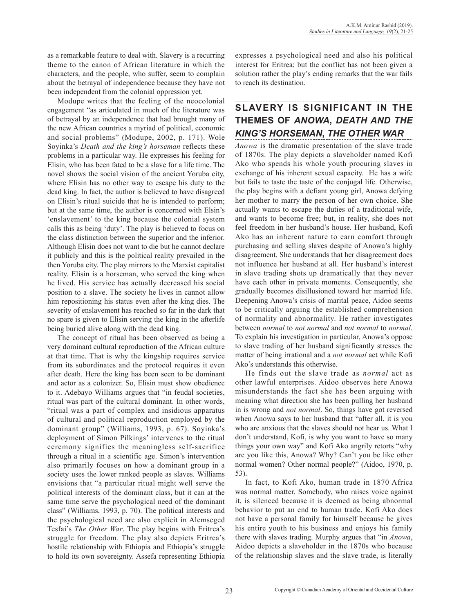as a remarkable feature to deal with. Slavery is a recurring theme to the canon of African literature in which the characters, and the people, who suffer, seem to complain about the betrayal of independence because they have not been independent from the colonial oppression yet.

Modupe writes that the feeling of the neocolonial engagement "as articulated in much of the literature was of betrayal by an independence that had brought many of the new African countries a myriad of political, economic and social problems" (Modupe, 2002, p. 171). Wole Soyinka's *Death and the king's horseman* reflects these problems in a particular way. He expresses his feeling for Elisin, who has been fated to be a slave for a life time. The novel shows the social vision of the ancient Yoruba city, where Elisin has no other way to escape his duty to the dead king. In fact, the author is believed to have disagreed on Elisin's ritual suicide that he is intended to perform; but at the same time, the author is concerned with Elsin's 'enslavement' to the king because the colonial system calls this as being 'duty'. The play is believed to focus on the class distinction between the superior and the inferior. Although Elisin does not want to die but he cannot declare it publicly and this is the political reality prevailed in the then Yoruba city. The play mirrors to the Marxist capitalist reality. Elisin is a horseman, who served the king when he lived. His service has actually decreased his social position to a slave. The society he lives in cannot allow him repositioning his status even after the king dies. The severity of enslavement has reached so far in the dark that no spare is given to Elisin serving the king in the afterlife being buried alive along with the dead king.

The concept of ritual has been observed as being a very dominant cultural reproduction of the African culture at that time. That is why the kingship requires service from its subordinates and the protocol requires it even after death. Here the king has been seen to be dominant and actor as a colonizer. So, Elisin must show obedience to it. Adebayo Williams argues that "in feudal societies, ritual was part of the cultural dominant. In other words, "ritual was a part of complex and insidious apparatus of cultural and political reproduction employed by the dominant group" (Williams, 1993, p. 67). Soyinka's deployment of Simon Pilkings' intervenes to the ritual ceremony signifies the meaningless self-sacrifice through a ritual in a scientific age. Simon's intervention also primarily focuses on how a dominant group in a society uses the lower ranked people as slaves. Williams envisions that "a particular ritual might well serve the political interests of the dominant class, but it can at the same time serve the psychological need of the dominant class" (Williams, 1993, p. 70). The political interests and the psychological need are also explicit in Alemseged Tesfai's *The Other War*. The play begins with Eritrea's struggle for freedom. The play also depicts Eritrea's hostile relationship with Ethiopia and Ethiopia's struggle to hold its own sovereignty. Assefa representing Ethiopia

expresses a psychological need and also his political interest for Eritrea; but the conflict has not been given a solution rather the play's ending remarks that the war fails to reach its destination.

# **Slavery Is Significant in the Themes of** *Anowa***,** *Death and the King's Horseman***,** *The Other War*

*Anowa* is the dramatic presentation of the slave trade of 1870s. The play depicts a slaveholder named Kofi Ako who spends his whole youth procuring slaves in exchange of his inherent sexual capacity. He has a wife but fails to taste the taste of the conjugal life. Otherwise, the play begins with a defiant young girl, Anowa defying her mother to marry the person of her own choice. She actually wants to escape the duties of a traditional wife, and wants to become free; but, in reality, she does not feel freedom in her husband's house. Her husband, Kofi Ako has an inherent nature to earn comfort through purchasing and selling slaves despite of Anowa's highly disagreement. She understands that her disagreement does not influence her husband at all. Her husband's interest in slave trading shots up dramatically that they never have each other in private moments. Consequently, she gradually becomes disillusioned toward her married life. Deepening Anowa's crisis of marital peace, Aidoo seems to be critically arguing the established comprehension of normality and abnormality. He rather investigates between *normal* to *not normal* and *not normal* to *normal*. To explain his investigation in particular, Anowa's oppose to slave trading of her husband significantly stresses the matter of being irrational and a *not normal* act while Kofi Ako's understands this otherwise.

He finds out the slave trade as *normal* act as other lawful enterprises. Aidoo observes here Anowa misunderstands the fact she has been arguing with meaning what direction she has been pulling her husband in is wrong and *not normal*. So, things have got reversed when Anowa says to her husband that "after all, it is you who are anxious that the slaves should not hear us. What I don't understand, Kofi, is why you want to have so many things your own way" and Kofi Ako angrily retorts "why are you like this, Anowa? Why? Can't you be like other normal women? Other normal people?" (Aidoo, 1970, p. 53).

In fact, to Kofi Ako, human trade in 1870 Africa was normal matter. Somebody, who raises voice against it, is silenced because it is deemed as being abnormal behavior to put an end to human trade. Kofi Ako does not have a personal family for himself because he gives his entire youth to his business and enjoys his family there with slaves trading. Murphy argues that "in *Anowa*, Aidoo depicts a slaveholder in the 1870s who because of the relationship slaves and the slave trade, is literally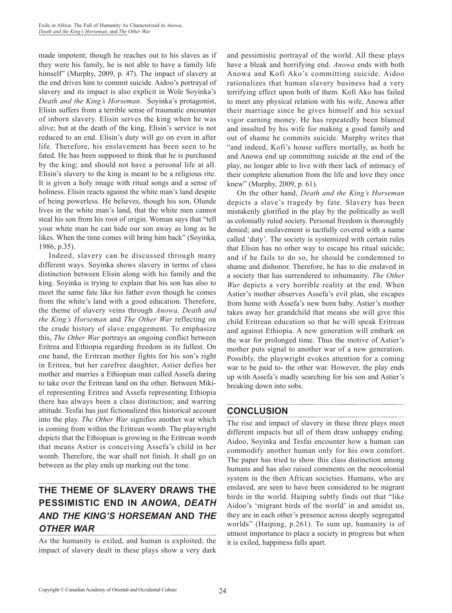made impotent; though he reaches out to his slaves as if they were his family, he is not able to have a family life himself" (Murphy, 2009, p. 47). The impact of slavery at the end drives him to commit suicide. Aidoo's portrayal of slavery and its impact is also explicit in Wole Soyinka's *Death and the King's Horseman*. Soyinka's protagonist, Elisin suffers from a terrible sense of traumatic encounter of inborn slavery. Elisin serves the king when he was alive; but at the death of the king, Elisin's service is not reduced to an end. Elisin's duty will go on even in after life. Therefore, his enslavement has been seen to be fated. He has been supposed to think that he is purchased by the king; and should not have a personal life at all. Elisin's slavery to the king is meant to be a religious rite. It is given a holy image with ritual songs and a sense of holiness. Elisin reacts against the white man's land despite of being powerless. He believes, though his son, Olunde lives in the white man's land, that the white men cannot steal his son from his root of origin. Woman says that "tell your white man he can hide our son away as long as he likes. When the time comes will bring him back" (Soyinka, 1986, p.35).

Indeed, slavery can be discussed through many different ways. Soyinka shows slavery in terms of class distinction between Elisin along with his family and the king. Soyinka is trying to explain that his son has also to meet the same fate like his father even though he comes from the white's land with a good education. Therefore, the theme of slavery veins through *Anowa, Death and the King's Horseman* and *The Other War* reflecting on the crude history of slave engagement. To emphasize this, *The Other War* portrays an ongoing conflict between Eritrea and Ethiopia regarding freedom in its fullest. On one hand, the Eritrean mother fights for his son's right in Eritrea, but her carefree daughter, Astier defies her mother and marries a Ethiopian man called Assefa daring to take over the Eritrean land on the other. Between Mikiel representing Eritrea and Assefa representing Ethiopia there has always been a class distinction; and warring attitude. Tesfai has just fictionalized this historical account into the play. *The Other War* signifies another war which is coming from within the Eritrean womb. The playwright depicts that the Ethiopian is growing in the Eritrean womb that means Astier is conceiving Assefa's child in her womb. Therefore, the war shall not finish. It shall go on between as the play ends up marking out the tone.

# **The Theme of Slavery Draws the Pessimistic End in** *Anowa***,** *Death and The King's Horseman* **and** *The Other War*

As the humanity is exiled, and human is exploited; the impact of slavery dealt in these plays show a very dark and pessimistic portrayal of the world. All these plays have a bleak and horrifying end. *Anowa* ends with both Anowa and Kofi Ako's committing suicide. Aidoo rationalizes that human slavery business had a very terrifying effect upon both of them. Kofi Ako has failed to meet any physical relation with his wife, Anowa after their marriage since he gives himself and his sexual vigor earning money. He has repeatedly been blamed and insulted by his wife for making a good family and out of shame he commits suicide. Murphy writes that "and indeed, Kofi's house suffers mortally, as both he and Anowa end up committing suicide at the end of the play, no longer able to live with their lack of intimacy of their complete alienation from the life and love they once knew" (Murphy, 2009, p. 61).

On the other hand, *Death and the King's Horseman* depicts a slave's tragedy by fate. Slavery has been mistakenly glorified in the play by the politically as well as colonially ruled society. Personal freedom is thoroughly denied; and enslavement is tactfully covered with a name called 'duty'. The society is systemized with certain rules that Elisin has no other way to escape his ritual suicide; and if he fails to do so, he should be condemned to shame and dishonor. Therefore, he has to die enslaved in a society that has surrendered to inhumanity. *The Other War* depicts a very horrible reality at the end. When Astier's mother observes Assefa's evil plan, she escapes from home with Assefa's new born baby. Astier's mother takes away her grandchild that means she will give this child Eritrean education so that he will speak Eritrean and against Ethiopia. A new generation will embark on the war for prolonged time. Thus the motive of Astier's mother puts signal to another war of a new generation. Possibly, the playwright evokes attention for a coming war to be paid to- the other war. However, the play ends up with Assefa's madly searching for his son and Astier's breaking down into sobs.

## **CONCLUSION**

The rise and impact of slavery in these three plays meet different impacts but all of them draw unhappy ending. Aidoo, Soyinka and Tesfai encounter how a human can commodify another human only for his own comfort. The paper has tried to show this class distinction among humans and has also raised comments on the neocolonial system in the then African societies. Humans, who are enslaved, are seen to have been considered to be migrant birds in the world. Haiping subtly finds out that "like Aidoo's 'migrant birds of the world' in and amidst us, they are in each other's presence across deeply segregated worlds" (Haiping, p.261). To sum up, humanity is of utmost importance to place a society in progress but when it is exiled, happiness falls apart.